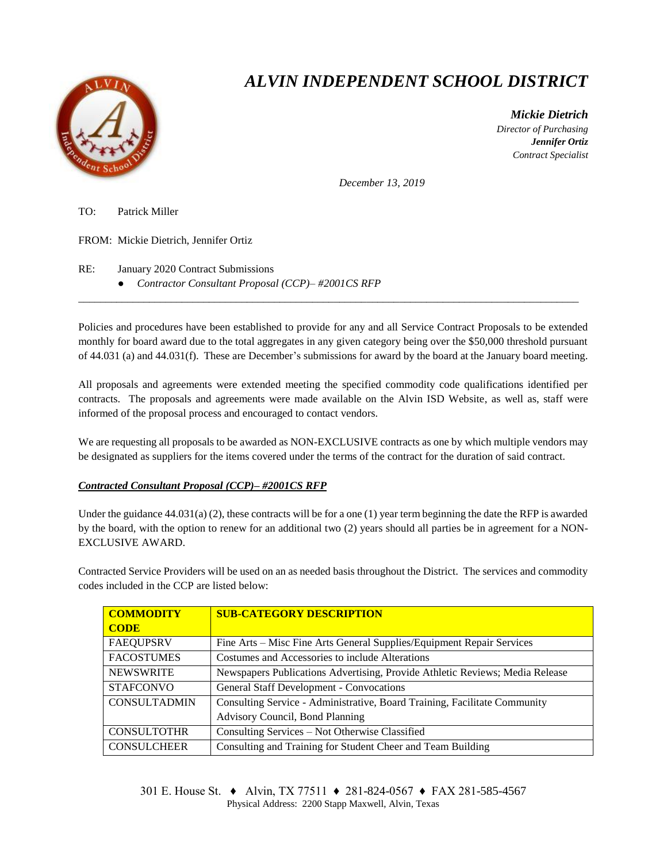

## *ALVIN INDEPENDENT SCHOOL DISTRICT*

 *Mickie Dietrich Director of Purchasing Jennifer Ortiz Contract Specialist*

*December 13, 2019*

TO: Patrick Miller

FROM: Mickie Dietrich, Jennifer Ortiz

RE: January 2020 Contract Submissions

● *Contractor Consultant Proposal (CCP)– #2001CS RFP*

Policies and procedures have been established to provide for any and all Service Contract Proposals to be extended monthly for board award due to the total aggregates in any given category being over the \$50,000 threshold pursuant of 44.031 (a) and 44.031(f). These are December's submissions for award by the board at the January board meeting.

 $\overline{a}$  , and the state of the state of the state of the state of the state of the state of the state of the state of the state of the state of the state of the state of the state of the state of the state of the state o

All proposals and agreements were extended meeting the specified commodity code qualifications identified per contracts. The proposals and agreements were made available on the Alvin ISD Website, as well as, staff were informed of the proposal process and encouraged to contact vendors.

We are requesting all proposals to be awarded as NON-EXCLUSIVE contracts as one by which multiple vendors may be designated as suppliers for the items covered under the terms of the contract for the duration of said contract.

## *Contracted Consultant Proposal (CCP)– #2001CS RFP*

Under the guidance  $44.031(a)$  (2), these contracts will be for a one (1) year term beginning the date the RFP is awarded by the board, with the option to renew for an additional two (2) years should all parties be in agreement for a NON-EXCLUSIVE AWARD.

Contracted Service Providers will be used on an as needed basis throughout the District. The services and commodity codes included in the CCP are listed below:

| <b>COMMODITY</b>    | <b>SUB-CATEGORY DESCRIPTION</b>                                              |  |
|---------------------|------------------------------------------------------------------------------|--|
| <b>CODE</b>         |                                                                              |  |
| <b>FAEQUPSRV</b>    | Fine Arts – Misc Fine Arts General Supplies/Equipment Repair Services        |  |
| <b>FACOSTUMES</b>   | Costumes and Accessories to include Alterations                              |  |
| <b>NEWSWRITE</b>    | Newspapers Publications Advertising, Provide Athletic Reviews; Media Release |  |
| <b>STAFCONVO</b>    | <b>General Staff Development - Convocations</b>                              |  |
| <b>CONSULTADMIN</b> | Consulting Service - Administrative, Board Training, Facilitate Community    |  |
|                     | Advisory Council, Bond Planning                                              |  |
| <b>CONSULTOTHR</b>  | Consulting Services – Not Otherwise Classified                               |  |
| <b>CONSULCHEER</b>  | Consulting and Training for Student Cheer and Team Building                  |  |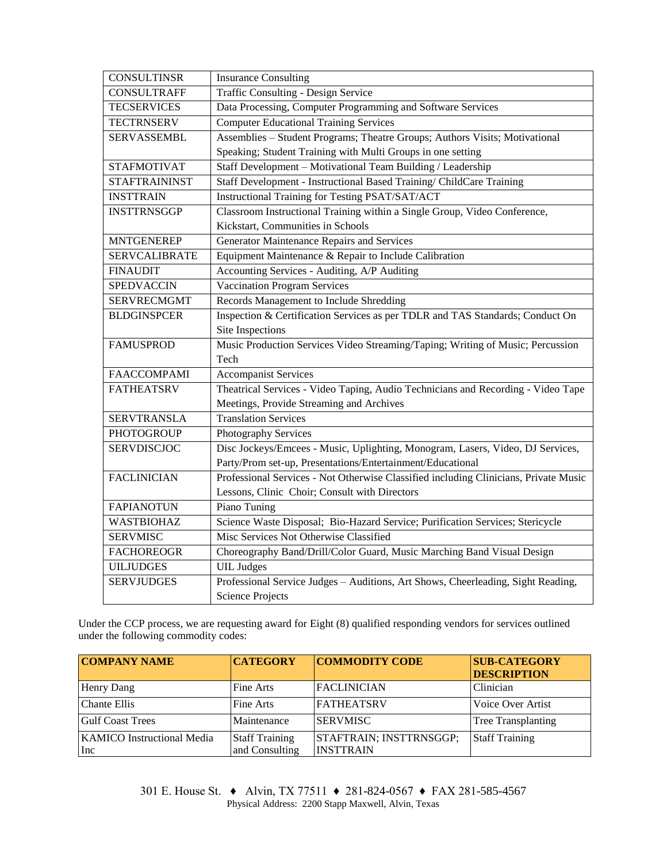| <b>CONSULTINSR</b>   | <b>Insurance Consulting</b>                                                          |  |  |  |
|----------------------|--------------------------------------------------------------------------------------|--|--|--|
| <b>CONSULTRAFF</b>   | Traffic Consulting - Design Service                                                  |  |  |  |
| <b>TECSERVICES</b>   | Data Processing, Computer Programming and Software Services                          |  |  |  |
| <b>TECTRNSERV</b>    | <b>Computer Educational Training Services</b>                                        |  |  |  |
| <b>SERVASSEMBL</b>   | Assemblies - Student Programs; Theatre Groups; Authors Visits; Motivational          |  |  |  |
|                      | Speaking; Student Training with Multi Groups in one setting                          |  |  |  |
| <b>STAFMOTIVAT</b>   | Staff Development - Motivational Team Building / Leadership                          |  |  |  |
| <b>STAFTRAININST</b> | Staff Development - Instructional Based Training/ ChildCare Training                 |  |  |  |
| <b>INSTTRAIN</b>     | Instructional Training for Testing PSAT/SAT/ACT                                      |  |  |  |
| <b>INSTTRNSGGP</b>   | Classroom Instructional Training within a Single Group, Video Conference,            |  |  |  |
|                      | Kickstart, Communities in Schools                                                    |  |  |  |
| <b>MNTGENEREP</b>    | Generator Maintenance Repairs and Services                                           |  |  |  |
| <b>SERVCALIBRATE</b> | Equipment Maintenance & Repair to Include Calibration                                |  |  |  |
| <b>FINAUDIT</b>      | Accounting Services - Auditing, A/P Auditing                                         |  |  |  |
| <b>SPEDVACCIN</b>    | <b>Vaccination Program Services</b>                                                  |  |  |  |
| <b>SERVRECMGMT</b>   | Records Management to Include Shredding                                              |  |  |  |
| <b>BLDGINSPCER</b>   | Inspection & Certification Services as per TDLR and TAS Standards; Conduct On        |  |  |  |
|                      | Site Inspections                                                                     |  |  |  |
| <b>FAMUSPROD</b>     | Music Production Services Video Streaming/Taping; Writing of Music; Percussion       |  |  |  |
|                      | Tech                                                                                 |  |  |  |
| <b>FAACCOMPAMI</b>   | <b>Accompanist Services</b>                                                          |  |  |  |
| <b>FATHEATSRV</b>    | Theatrical Services - Video Taping, Audio Technicians and Recording - Video Tape     |  |  |  |
|                      | Meetings, Provide Streaming and Archives                                             |  |  |  |
| <b>SERVTRANSLA</b>   | <b>Translation Services</b>                                                          |  |  |  |
| <b>PHOTOGROUP</b>    | Photography Services                                                                 |  |  |  |
| <b>SERVDISCJOC</b>   | Disc Jockeys/Emcees - Music, Uplighting, Monogram, Lasers, Video, DJ Services,       |  |  |  |
|                      | Party/Prom set-up, Presentations/Entertainment/Educational                           |  |  |  |
| <b>FACLINICIAN</b>   | Professional Services - Not Otherwise Classified including Clinicians, Private Music |  |  |  |
|                      | Lessons, Clinic Choir; Consult with Directors                                        |  |  |  |
| <b>FAPIANOTUN</b>    | Piano Tuning                                                                         |  |  |  |
| WASTBIOHAZ           | Science Waste Disposal; Bio-Hazard Service; Purification Services; Stericycle        |  |  |  |
| <b>SERVMISC</b>      | Misc Services Not Otherwise Classified                                               |  |  |  |
| <b>FACHOREOGR</b>    | Choreography Band/Drill/Color Guard, Music Marching Band Visual Design               |  |  |  |
| <b>UILJUDGES</b>     | <b>UIL</b> Judges                                                                    |  |  |  |
| <b>SERVJUDGES</b>    | Professional Service Judges - Auditions, Art Shows, Cheerleading, Sight Reading,     |  |  |  |
|                      | <b>Science Projects</b>                                                              |  |  |  |

Under the CCP process, we are requesting award for Eight (8) qualified responding vendors for services outlined under the following commodity codes:

| <b>COMPANY NAME</b>               | <b>CATEGORY</b>       | <b>COMMODITY CODE</b>   | <b>SUB-CATEGORY</b><br><b>DESCRIPTION</b> |
|-----------------------------------|-----------------------|-------------------------|-------------------------------------------|
| Henry Dang                        | Fine Arts             | <b>FACLINICIAN</b>      | Clinician                                 |
| <b>Chante Ellis</b>               | Fine Arts             | <b>FATHEATSRV</b>       | Voice Over Artist                         |
| <b>Gulf Coast Trees</b>           | Maintenance           | <b>SERVMISC</b>         | Tree Transplanting                        |
| <b>KAMICO</b> Instructional Media | <b>Staff Training</b> | STAFTRAIN; INSTTRNSGGP; | <b>Staff Training</b>                     |
| Inc                               | and Consulting        | <b>INSTTRAIN</b>        |                                           |